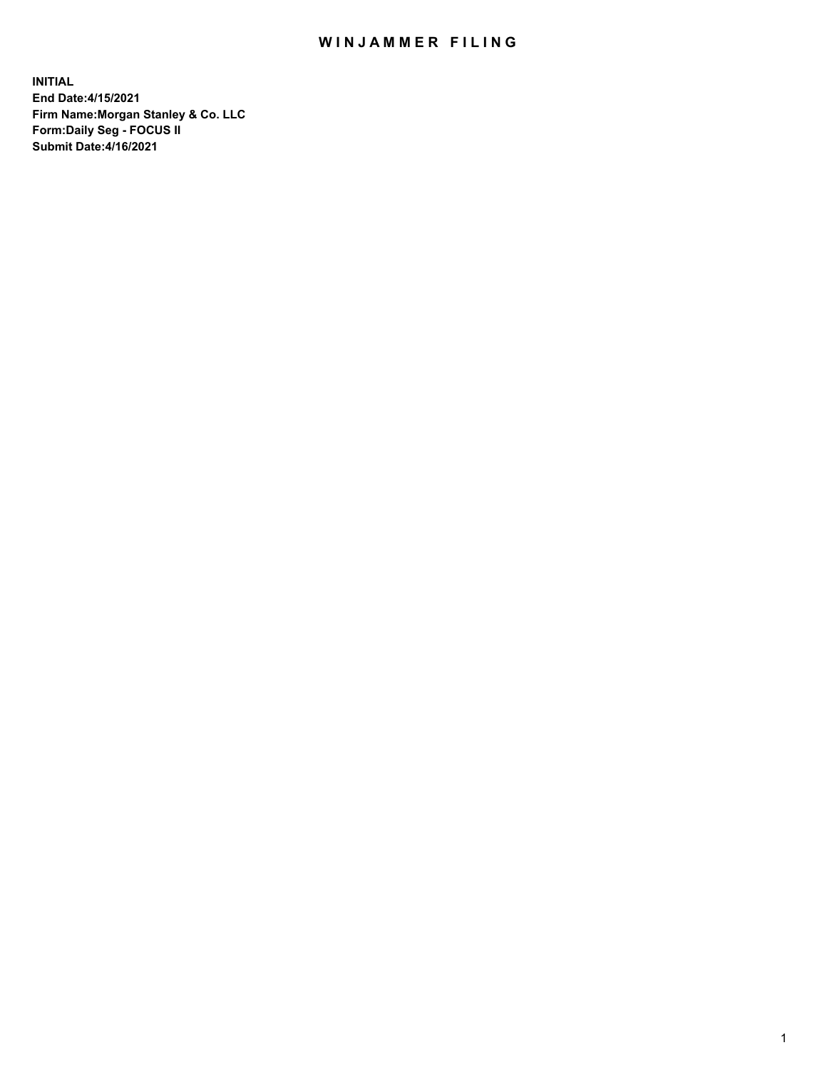## WIN JAMMER FILING

**INITIAL End Date:4/15/2021 Firm Name:Morgan Stanley & Co. LLC Form:Daily Seg - FOCUS II Submit Date:4/16/2021**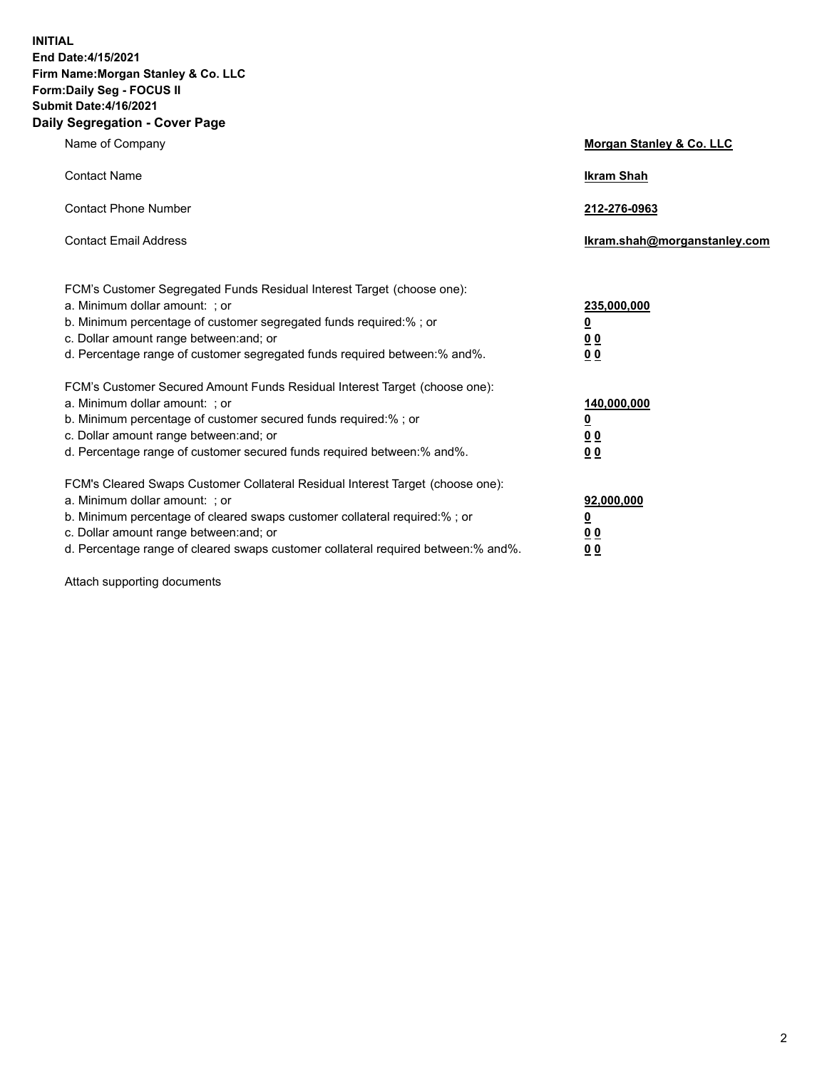**INITIAL End Date:4/15/2021 Firm Name:Morgan Stanley & Co. LLC Form:Daily Seg - FOCUS II Submit Date:4/16/2021 Daily Segregation - Cover Page**

| Name of Company                                                                                                                                                                                                                                                                                                                | <b>Morgan Stanley &amp; Co. LLC</b>                    |
|--------------------------------------------------------------------------------------------------------------------------------------------------------------------------------------------------------------------------------------------------------------------------------------------------------------------------------|--------------------------------------------------------|
| <b>Contact Name</b>                                                                                                                                                                                                                                                                                                            | <b>Ikram Shah</b>                                      |
| <b>Contact Phone Number</b>                                                                                                                                                                                                                                                                                                    | 212-276-0963                                           |
| <b>Contact Email Address</b>                                                                                                                                                                                                                                                                                                   | Ikram.shah@morganstanley.com                           |
| FCM's Customer Segregated Funds Residual Interest Target (choose one):<br>a. Minimum dollar amount: ; or<br>b. Minimum percentage of customer segregated funds required:% ; or<br>c. Dollar amount range between: and; or<br>d. Percentage range of customer segregated funds required between:% and%.                         | 235,000,000<br><u>0</u><br>0 Q<br>0 Q                  |
| FCM's Customer Secured Amount Funds Residual Interest Target (choose one):<br>a. Minimum dollar amount: ; or<br>b. Minimum percentage of customer secured funds required:% ; or<br>c. Dollar amount range between: and; or<br>d. Percentage range of customer secured funds required between: % and %.                         | 140,000,000<br><u>0</u><br><u>00</u><br>0 <sub>0</sub> |
| FCM's Cleared Swaps Customer Collateral Residual Interest Target (choose one):<br>a. Minimum dollar amount: ; or<br>b. Minimum percentage of cleared swaps customer collateral required:% ; or<br>c. Dollar amount range between: and; or<br>d. Percentage range of cleared swaps customer collateral required between:% and%. | 92,000,000<br><u>0</u><br>0 Q<br>00                    |

Attach supporting documents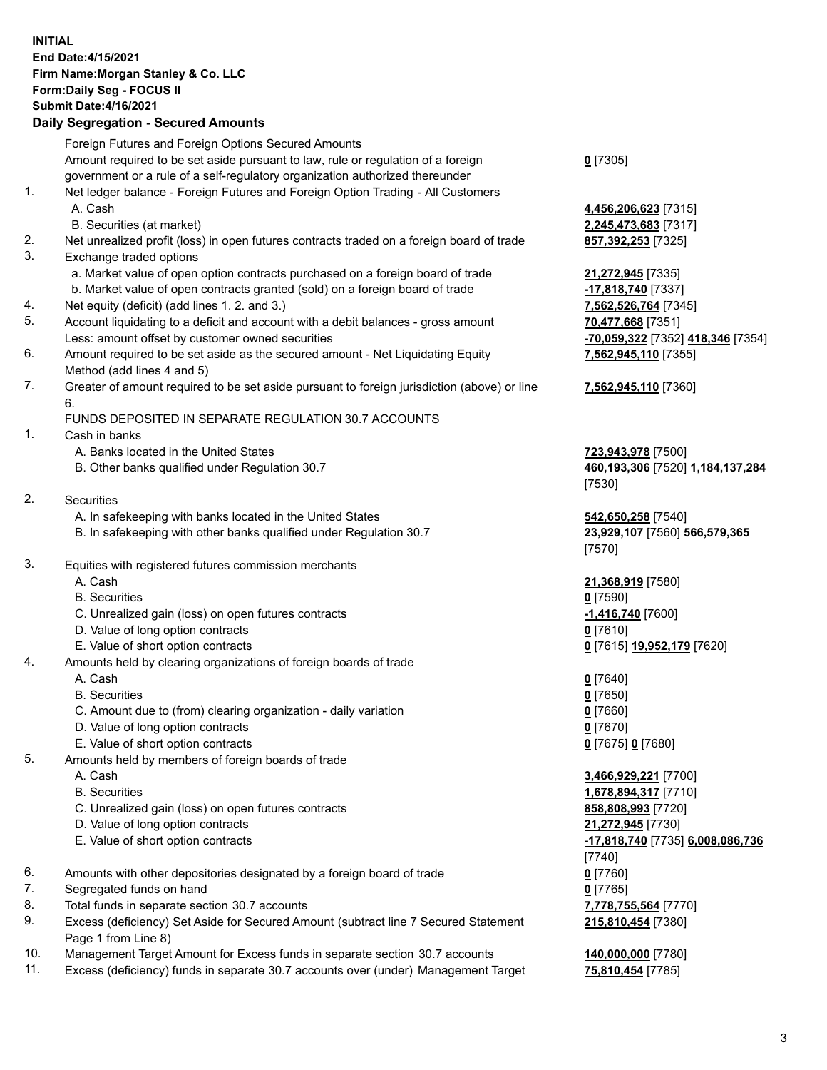## **INITIAL End Date:4/15/2021 Firm Name:Morgan Stanley & Co. LLC Form:Daily Seg - FOCUS II Submit Date:4/16/2021**

## **Daily Segregation - Secured Amounts**

|    | Foreign Futures and Foreign Options Secured Amounts                                                          |                                             |
|----|--------------------------------------------------------------------------------------------------------------|---------------------------------------------|
|    | Amount required to be set aside pursuant to law, rule or regulation of a foreign                             | $0$ [7305]                                  |
|    | government or a rule of a self-regulatory organization authorized thereunder                                 |                                             |
| 1. | Net ledger balance - Foreign Futures and Foreign Option Trading - All Customers                              |                                             |
|    | A. Cash                                                                                                      | 4,456,206,623 [7315]                        |
|    | B. Securities (at market)                                                                                    | 2,245,473,683 [7317]                        |
| 2. | Net unrealized profit (loss) in open futures contracts traded on a foreign board of trade                    | 857,392,253 [7325]                          |
| 3. | Exchange traded options                                                                                      |                                             |
|    | a. Market value of open option contracts purchased on a foreign board of trade                               | 21,272,945 [7335]                           |
|    | b. Market value of open contracts granted (sold) on a foreign board of trade                                 | -17,818,740 [7337]                          |
| 4. | Net equity (deficit) (add lines 1. 2. and 3.)                                                                | 7,562,526,764 [7345]                        |
| 5. | Account liquidating to a deficit and account with a debit balances - gross amount                            | 70,477,668 [7351]                           |
|    | Less: amount offset by customer owned securities                                                             | <mark>-70,059,322</mark> [7352] 418,346 [73 |
| 6. | Amount required to be set aside as the secured amount - Net Liquidating Equity<br>Method (add lines 4 and 5) | 7,562,945,110 [7355]                        |
| 7. | Greater of amount required to be set aside pursuant to foreign jurisdiction (above) or line                  | 7,562,945,110 [7360]                        |
|    | 6.                                                                                                           |                                             |
|    | FUNDS DEPOSITED IN SEPARATE REGULATION 30.7 ACCOUNTS                                                         |                                             |
| 1. | Cash in banks                                                                                                |                                             |
|    | A. Banks located in the United States                                                                        | 723,943,978 [7500]                          |
|    | B. Other banks qualified under Regulation 30.7                                                               | 460,193,306 [7520] 1,184,137,               |
|    |                                                                                                              | [7530]                                      |
| 2. | Securities                                                                                                   |                                             |
|    | A. In safekeeping with banks located in the United States                                                    | 542,650,258 [7540]                          |
|    | B. In safekeeping with other banks qualified under Regulation 30.7                                           | 23,929,107 [7560] 566,579,365               |
|    |                                                                                                              | [7570]                                      |
| 3. | Equities with registered futures commission merchants                                                        |                                             |
|    | A. Cash                                                                                                      | 21,368,919 [7580]                           |
|    | <b>B.</b> Securities                                                                                         | $0$ [7590]                                  |
|    | C. Unrealized gain (loss) on open futures contracts                                                          | -1,416,740 <sup>[7600]</sup>                |
|    | D. Value of long option contracts                                                                            | $0$ [7610]                                  |
|    | E. Value of short option contracts                                                                           | 0 [7615] 19,952,179 [7620]                  |
| 4. | Amounts held by clearing organizations of foreign boards of trade                                            |                                             |
|    | A. Cash                                                                                                      | $0$ [7640]                                  |
|    | <b>B.</b> Securities                                                                                         | $0$ [7650]                                  |
|    | C. Amount due to (from) clearing organization - daily variation                                              | $0$ [7660]                                  |
|    | D. Value of long option contracts                                                                            | $0$ [7670]                                  |
|    | E. Value of short option contracts                                                                           | 0 [7675] 0 [7680]                           |
| 5. | Amounts held by members of foreign boards of trade                                                           |                                             |
|    | A. Cash                                                                                                      | 3,466,929,221 [7700]                        |
|    | <b>B.</b> Securities                                                                                         | 1,678,894,317 [7710]                        |
|    | C. Unrealized gain (loss) on open futures contracts                                                          | 858,808,993 [7720]                          |
|    | D. Value of long option contracts                                                                            | 21,272,945 [7730]                           |
|    | E. Value of short option contracts                                                                           | -17,818,740 [7735] 6,008,086,7              |
|    |                                                                                                              | [7740]                                      |
| 6. | Amounts with other depositories designated by a foreign board of trade                                       | $0$ [7760]                                  |
| 7. | Segregated funds on hand                                                                                     | $0$ [7765]                                  |
| 8. | Total funds in separate section 30.7 accounts                                                                | 7,778,755,564 [7770]                        |
| 9. | Excess (deficiency) Set Aside for Secured Amount (subtract line 7 Secured Statement<br>Page 1 from Line 8)   | 215,810,454 [7380]                          |

- 10. Management Target Amount for Excess funds in separate section 30.7 accounts **140,000,000** [7780]
- 11. Excess (deficiency) funds in separate 30.7 accounts over (under) Management Target **75,810,454** [7785]

Less: amount offset by customer owned securities **-70,059,322** [7352] **418,346** [7354] 55]

## 30]

B. **1,184,137,284** 

 E. Value of short option contracts **-17,818,740** [7735] **6,008,086,736 215,810,454** [7380]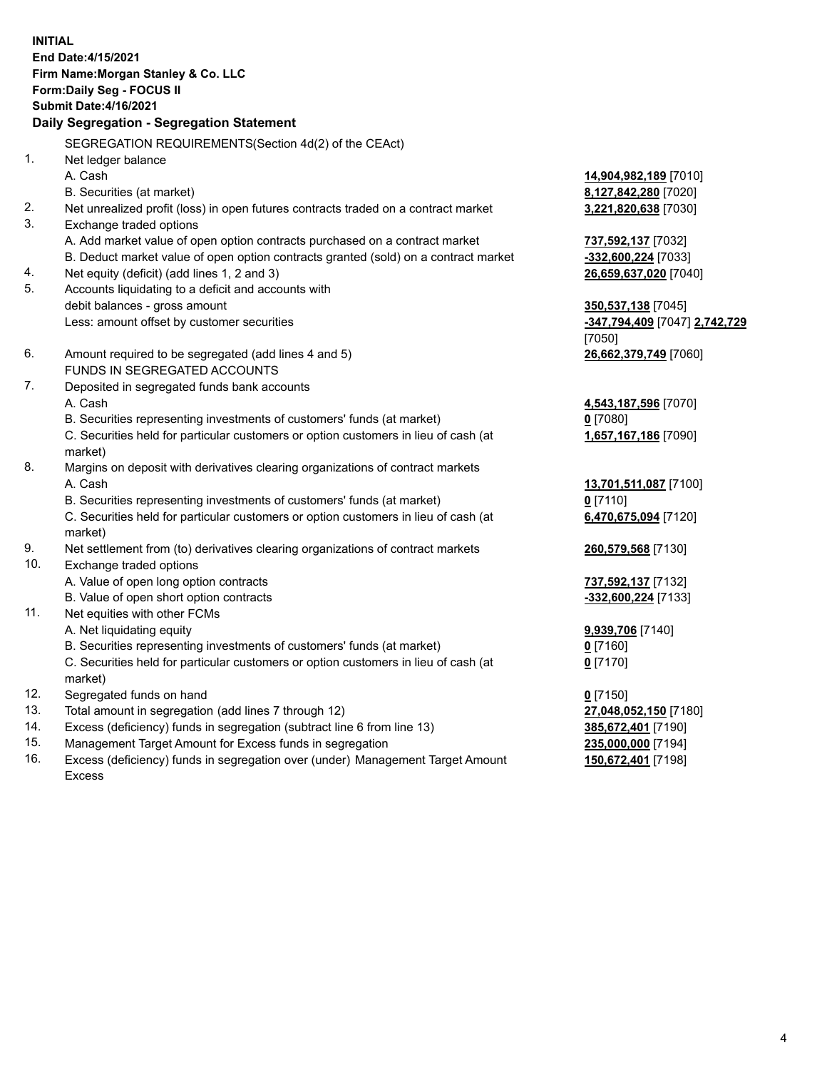**INITIAL End Date:4/15/2021 Firm Name:Morgan Stanley & Co. LLC Form:Daily Seg - FOCUS II Submit Date:4/16/2021 Daily Segregation - Segregation Statement** SEGREGATION REQUIREMENTS(Section 4d(2) of the CEAct) 1. Net ledger balance A. Cash **14,904,982,189** [7010] B. Securities (at market) **8,127,842,280** [7020] 2. Net unrealized profit (loss) in open futures contracts traded on a contract market **3,221,820,638** [7030] 3. Exchange traded options A. Add market value of open option contracts purchased on a contract market **737,592,137** [7032] B. Deduct market value of open option contracts granted (sold) on a contract market **-332,600,224** [7033] 4. Net equity (deficit) (add lines 1, 2 and 3) **26,659,637,020** [7040] 5. Accounts liquidating to a deficit and accounts with debit balances - gross amount **350,537,138** [7045] Less: amount offset by customer securities **-347,794,409** [7047] **2,742,729** [7050] 6. Amount required to be segregated (add lines 4 and 5) **26,662,379,749** [7060] FUNDS IN SEGREGATED ACCOUNTS 7. Deposited in segregated funds bank accounts A. Cash **4,543,187,596** [7070] B. Securities representing investments of customers' funds (at market) **0** [7080] C. Securities held for particular customers or option customers in lieu of cash (at market) **1,657,167,186** [7090] 8. Margins on deposit with derivatives clearing organizations of contract markets A. Cash **13,701,511,087** [7100] B. Securities representing investments of customers' funds (at market) **0** [7110] C. Securities held for particular customers or option customers in lieu of cash (at market) **6,470,675,094** [7120] 9. Net settlement from (to) derivatives clearing organizations of contract markets **260,579,568** [7130] 10. Exchange traded options A. Value of open long option contracts **737,592,137** [7132] B. Value of open short option contracts **and the set of our original contracts -332,600,224** [7133] 11. Net equities with other FCMs A. Net liquidating equity **9,939,706** [7140] B. Securities representing investments of customers' funds (at market) **0** [7160] C. Securities held for particular customers or option customers in lieu of cash (at market) **0** [7170] 12. Segregated funds on hand **0** [7150] 13. Total amount in segregation (add lines 7 through 12) **27,048,052,150** [7180] 14. Excess (deficiency) funds in segregation (subtract line 6 from line 13) **385,672,401** [7190] 15. Management Target Amount for Excess funds in segregation **235,000,000** [7194]

16. Excess (deficiency) funds in segregation over (under) Management Target Amount Excess

**150,672,401** [7198]